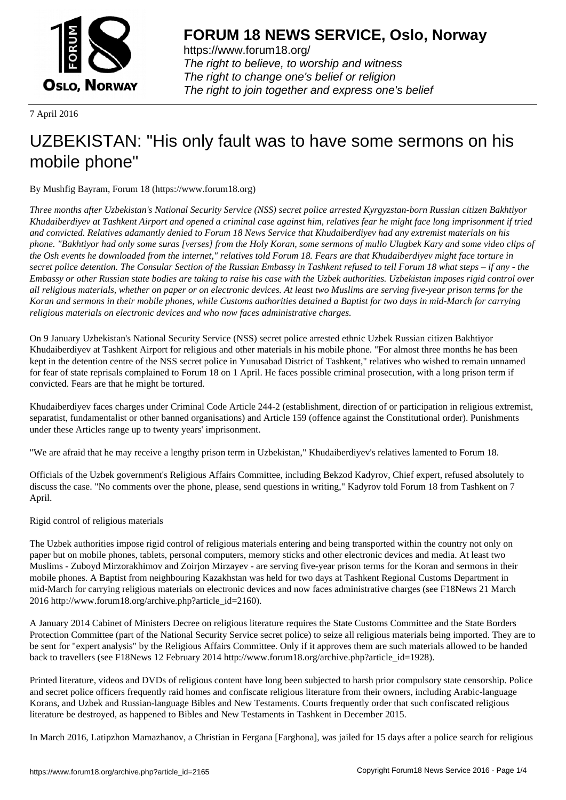

https://www.forum18.org/ The right to believe, to worship and witness The right to change one's belief or religion [The right to join together a](https://www.forum18.org/)nd express one's belief

7 April 2016

## [UZBEKISTAN:](https://www.forum18.org) "His only fault was to have some sermons on his mobile phone"

By Mushfig Bayram, Forum 18 (https://www.forum18.org)

*Three months after Uzbekistan's National Security Service (NSS) secret police arrested Kyrgyzstan-born Russian citizen Bakhtiyor Khudaiberdiyev at Tashkent Airport and opened a criminal case against him, relatives fear he might face long imprisonment if tried and convicted. Relatives adamantly denied to Forum 18 News Service that Khudaiberdiyev had any extremist materials on his phone. "Bakhtiyor had only some suras [verses] from the Holy Koran, some sermons of mullo Ulugbek Kary and some video clips of the Osh events he downloaded from the internet," relatives told Forum 18. Fears are that Khudaiberdiyev might face torture in secret police detention. The Consular Section of the Russian Embassy in Tashkent refused to tell Forum 18 what steps – if any - the Embassy or other Russian state bodies are taking to raise his case with the Uzbek authorities. Uzbekistan imposes rigid control over all religious materials, whether on paper or on electronic devices. At least two Muslims are serving five-year prison terms for the Koran and sermons in their mobile phones, while Customs authorities detained a Baptist for two days in mid-March for carrying religious materials on electronic devices and who now faces administrative charges.*

On 9 January Uzbekistan's National Security Service (NSS) secret police arrested ethnic Uzbek Russian citizen Bakhtiyor Khudaiberdiyev at Tashkent Airport for religious and other materials in his mobile phone. "For almost three months he has been kept in the detention centre of the NSS secret police in Yunusabad District of Tashkent," relatives who wished to remain unnamed for fear of state reprisals complained to Forum 18 on 1 April. He faces possible criminal prosecution, with a long prison term if convicted. Fears are that he might be tortured.

Khudaiberdiyev faces charges under Criminal Code Article 244-2 (establishment, direction of or participation in religious extremist, separatist, fundamentalist or other banned organisations) and Article 159 (offence against the Constitutional order). Punishments under these Articles range up to twenty years' imprisonment.

"We are afraid that he may receive a lengthy prison term in Uzbekistan," Khudaiberdiyev's relatives lamented to Forum 18.

Officials of the Uzbek government's Religious Affairs Committee, including Bekzod Kadyrov, Chief expert, refused absolutely to discuss the case. "No comments over the phone, please, send questions in writing," Kadyrov told Forum 18 from Tashkent on 7 April.

Rigid control of religious materials

The Uzbek authorities impose rigid control of religious materials entering and being transported within the country not only on paper but on mobile phones, tablets, personal computers, memory sticks and other electronic devices and media. At least two Muslims - Zuboyd Mirzorakhimov and Zoirjon Mirzayev - are serving five-year prison terms for the Koran and sermons in their mobile phones. A Baptist from neighbouring Kazakhstan was held for two days at Tashkent Regional Customs Department in mid-March for carrying religious materials on electronic devices and now faces administrative charges (see F18News 21 March 2016 http://www.forum18.org/archive.php?article\_id=2160).

A January 2014 Cabinet of Ministers Decree on religious literature requires the State Customs Committee and the State Borders Protection Committee (part of the National Security Service secret police) to seize all religious materials being imported. They are to be sent for "expert analysis" by the Religious Affairs Committee. Only if it approves them are such materials allowed to be handed back to travellers (see F18News 12 February 2014 http://www.forum18.org/archive.php?article\_id=1928).

Printed literature, videos and DVDs of religious content have long been subjected to harsh prior compulsory state censorship. Police and secret police officers frequently raid homes and confiscate religious literature from their owners, including Arabic-language Korans, and Uzbek and Russian-language Bibles and New Testaments. Courts frequently order that such confiscated religious literature be destroyed, as happened to Bibles and New Testaments in Tashkent in December 2015.

In March 2016, Latipzhon Mamazhanov, a Christian in Fergana [Farghona], was jailed for 15 days after a police search for religious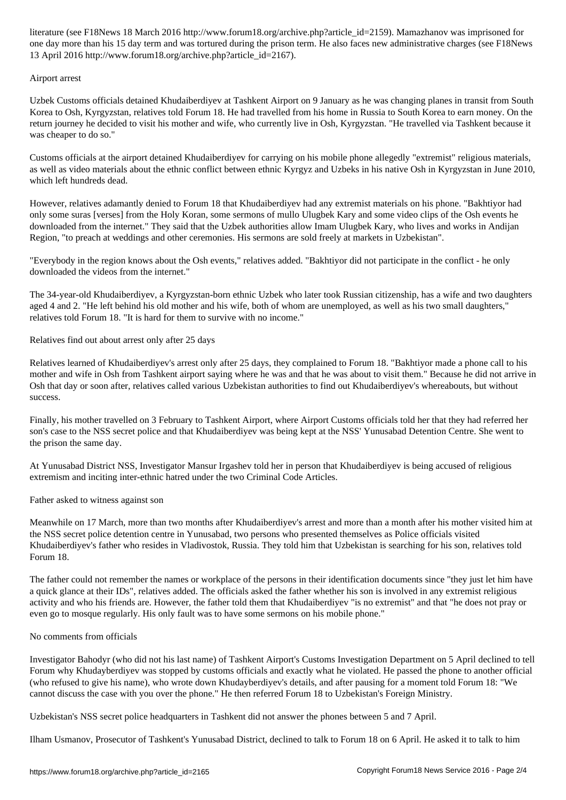one day more than his 15 day term and was tortured during the prison term. He also faces new administrative charges (see F18News 13 April 2016 http://www.forum18.org/archive.php?article\_id=2167).

## Airport arrest

Uzbek Customs officials detained Khudaiberdiyev at Tashkent Airport on 9 January as he was changing planes in transit from South Korea to Osh, Kyrgyzstan, relatives told Forum 18. He had travelled from his home in Russia to South Korea to earn money. On the return journey he decided to visit his mother and wife, who currently live in Osh, Kyrgyzstan. "He travelled via Tashkent because it was cheaper to do so."

Customs officials at the airport detained Khudaiberdiyev for carrying on his mobile phone allegedly "extremist" religious materials, as well as video materials about the ethnic conflict between ethnic Kyrgyz and Uzbeks in his native Osh in Kyrgyzstan in June 2010, which left hundreds dead.

However, relatives adamantly denied to Forum 18 that Khudaiberdiyev had any extremist materials on his phone. "Bakhtiyor had only some suras [verses] from the Holy Koran, some sermons of mullo Ulugbek Kary and some video clips of the Osh events he downloaded from the internet." They said that the Uzbek authorities allow Imam Ulugbek Kary, who lives and works in Andijan Region, "to preach at weddings and other ceremonies. His sermons are sold freely at markets in Uzbekistan".

"Everybody in the region knows about the Osh events," relatives added. "Bakhtiyor did not participate in the conflict - he only downloaded the videos from the internet."

The 34-year-old Khudaiberdiyev, a Kyrgyzstan-born ethnic Uzbek who later took Russian citizenship, has a wife and two daughters aged 4 and 2. "He left behind his old mother and his wife, both of whom are unemployed, as well as his two small daughters," relatives told Forum 18. "It is hard for them to survive with no income."

Relatives find out about arrest only after 25 days

Relatives learned of Khudaiberdiyev's arrest only after 25 days, they complained to Forum 18. "Bakhtiyor made a phone call to his mother and wife in Osh from Tashkent airport saying where he was and that he was about to visit them." Because he did not arrive in Osh that day or soon after, relatives called various Uzbekistan authorities to find out Khudaiberdiyev's whereabouts, but without success.

Finally, his mother travelled on 3 February to Tashkent Airport, where Airport Customs officials told her that they had referred her son's case to the NSS secret police and that Khudaiberdiyev was being kept at the NSS' Yunusabad Detention Centre. She went to the prison the same day.

At Yunusabad District NSS, Investigator Mansur Irgashev told her in person that Khudaiberdiyev is being accused of religious extremism and inciting inter-ethnic hatred under the two Criminal Code Articles.

Father asked to witness against son

Meanwhile on 17 March, more than two months after Khudaiberdiyev's arrest and more than a month after his mother visited him at the NSS secret police detention centre in Yunusabad, two persons who presented themselves as Police officials visited Khudaiberdiyev's father who resides in Vladivostok, Russia. They told him that Uzbekistan is searching for his son, relatives told Forum 18.

The father could not remember the names or workplace of the persons in their identification documents since "they just let him have a quick glance at their IDs", relatives added. The officials asked the father whether his son is involved in any extremist religious activity and who his friends are. However, the father told them that Khudaiberdiyev "is no extremist" and that "he does not pray or even go to mosque regularly. His only fault was to have some sermons on his mobile phone."

## No comments from officials

Investigator Bahodyr (who did not his last name) of Tashkent Airport's Customs Investigation Department on 5 April declined to tell Forum why Khudayberdiyev was stopped by customs officials and exactly what he violated. He passed the phone to another official (who refused to give his name), who wrote down Khudayberdiyev's details, and after pausing for a moment told Forum 18: "We cannot discuss the case with you over the phone." He then referred Forum 18 to Uzbekistan's Foreign Ministry.

Uzbekistan's NSS secret police headquarters in Tashkent did not answer the phones between 5 and 7 April.

Ilham Usmanov, Prosecutor of Tashkent's Yunusabad District, declined to talk to Forum 18 on 6 April. He asked it to talk to him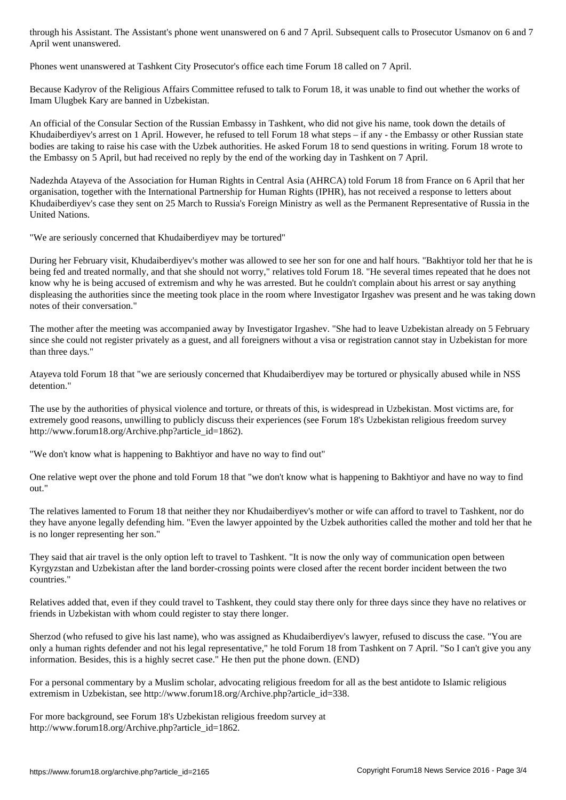Phones went unanswered at Tashkent City Prosecutor's office each time Forum 18 called on 7 April.

Because Kadyrov of the Religious Affairs Committee refused to talk to Forum 18, it was unable to find out whether the works of Imam Ulugbek Kary are banned in Uzbekistan.

An official of the Consular Section of the Russian Embassy in Tashkent, who did not give his name, took down the details of Khudaiberdiyev's arrest on 1 April. However, he refused to tell Forum 18 what steps – if any - the Embassy or other Russian state bodies are taking to raise his case with the Uzbek authorities. He asked Forum 18 to send questions in writing. Forum 18 wrote to the Embassy on 5 April, but had received no reply by the end of the working day in Tashkent on 7 April.

Nadezhda Atayeva of the Association for Human Rights in Central Asia (AHRCA) told Forum 18 from France on 6 April that her organisation, together with the International Partnership for Human Rights (IPHR), has not received a response to letters about Khudaiberdiyev's case they sent on 25 March to Russia's Foreign Ministry as well as the Permanent Representative of Russia in the United Nations.

"We are seriously concerned that Khudaiberdiyev may be tortured"

April went unanswered.

During her February visit, Khudaiberdiyev's mother was allowed to see her son for one and half hours. "Bakhtiyor told her that he is being fed and treated normally, and that she should not worry," relatives told Forum 18. "He several times repeated that he does not know why he is being accused of extremism and why he was arrested. But he couldn't complain about his arrest or say anything displeasing the authorities since the meeting took place in the room where Investigator Irgashev was present and he was taking down notes of their conversation."

The mother after the meeting was accompanied away by Investigator Irgashev. "She had to leave Uzbekistan already on 5 February since she could not register privately as a guest, and all foreigners without a visa or registration cannot stay in Uzbekistan for more than three days."

Atayeva told Forum 18 that "we are seriously concerned that Khudaiberdiyev may be tortured or physically abused while in NSS detention."

The use by the authorities of physical violence and torture, or threats of this, is widespread in Uzbekistan. Most victims are, for extremely good reasons, unwilling to publicly discuss their experiences (see Forum 18's Uzbekistan religious freedom survey http://www.forum18.org/Archive.php?article\_id=1862).

"We don't know what is happening to Bakhtiyor and have no way to find out"

One relative wept over the phone and told Forum 18 that "we don't know what is happening to Bakhtiyor and have no way to find out."

The relatives lamented to Forum 18 that neither they nor Khudaiberdiyev's mother or wife can afford to travel to Tashkent, nor do they have anyone legally defending him. "Even the lawyer appointed by the Uzbek authorities called the mother and told her that he is no longer representing her son."

They said that air travel is the only option left to travel to Tashkent. "It is now the only way of communication open between Kyrgyzstan and Uzbekistan after the land border-crossing points were closed after the recent border incident between the two countries."

Relatives added that, even if they could travel to Tashkent, they could stay there only for three days since they have no relatives or friends in Uzbekistan with whom could register to stay there longer.

Sherzod (who refused to give his last name), who was assigned as Khudaiberdiyev's lawyer, refused to discuss the case. "You are only a human rights defender and not his legal representative," he told Forum 18 from Tashkent on 7 April. "So I can't give you any information. Besides, this is a highly secret case." He then put the phone down. (END)

For a personal commentary by a Muslim scholar, advocating religious freedom for all as the best antidote to Islamic religious extremism in Uzbekistan, see http://www.forum18.org/Archive.php?article\_id=338.

For more background, see Forum 18's Uzbekistan religious freedom survey at http://www.forum18.org/Archive.php?article\_id=1862.